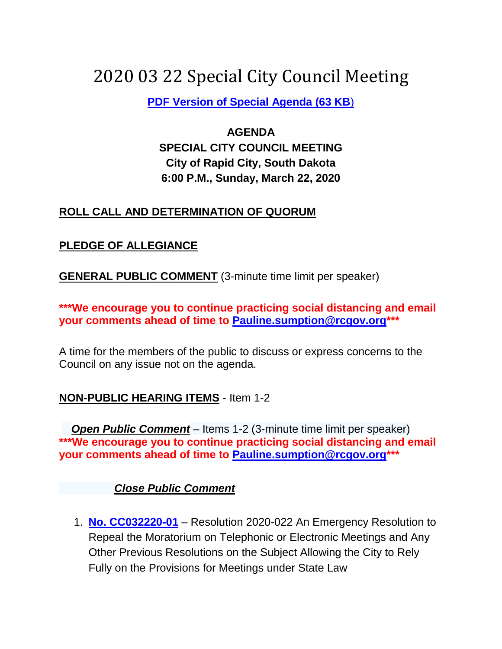# 2020 03 22 Special City Council Meeting

**[PDF Version of Special Agenda \(63 KB](2020%2003%2022%20Special%20City%20Council%20Meeting.pdf)**)

# **AGENDA SPECIAL CITY COUNCIL MEETING City of Rapid City, South Dakota 6:00 P.M., Sunday, March 22, 2020**

#### **ROLL CALL AND DETERMINATION OF QUORUM**

#### **PLEDGE OF ALLEGIANCE**

**GENERAL PUBLIC COMMENT** (3-minute time limit per speaker)

**\*\*\*We encourage you to continue practicing social distancing and email your comments ahead of time to [Pauline.sumption@rcgov.org\\*](mailto:Pauline.sumption@rcgov.org)\*\***

A time for the members of the public to discuss or express concerns to the Council on any issue not on the agenda.

## **NON-PUBLIC HEARING ITEMS** - Item 1-2

 *Open Public Comment* – Items 1-2 (3-minute time limit per speaker) **\*\*\*We encourage you to continue practicing social distancing and email your comments ahead of time to [Pauline.sumption@rcgov.org\\*](mailto:Pauline.sumption@rcgov.org)\*\***

#### *Close Public Comment*

1. **[No. CC032220-01](Resolution%20Repeal%20Moratorium%20on%20Remote%20Meetings.pdf)** – Resolution 2020-022 An Emergency Resolution to Repeal the Moratorium on Telephonic or Electronic Meetings and Any Other Previous Resolutions on the Subject Allowing the City to Rely Fully on the Provisions for Meetings under State Law